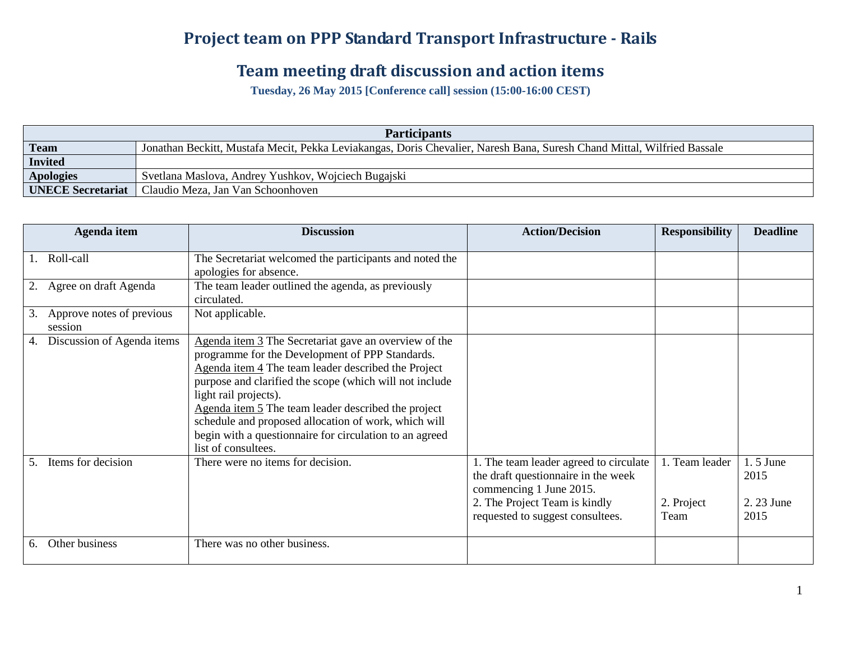## **Project team on PPP Standard Transport Infrastructure - Rails**

## **Team meeting draft discussion and action items**

**Tuesday, 26 May 2015 [Conference call] session (15:00-16:00 CEST)**

| <b>Participants</b>      |                                                                                                                         |  |  |  |  |
|--------------------------|-------------------------------------------------------------------------------------------------------------------------|--|--|--|--|
| Team                     | Jonathan Beckitt, Mustafa Mecit, Pekka Leviakangas, Doris Chevalier, Naresh Bana, Suresh Chand Mittal, Wilfried Bassale |  |  |  |  |
| Invited                  |                                                                                                                         |  |  |  |  |
| <b>Apologies</b>         | Svetlana Maslova, Andrey Yushkov, Wojciech Bugajski                                                                     |  |  |  |  |
| <b>UNECE Secretariat</b> | Claudio Meza, Jan Van Schoonhoven                                                                                       |  |  |  |  |

|    | Agenda item                          | <b>Discussion</b>                                                                                                                                                                                                                                                                                                                                                                                                                                    | <b>Action/Decision</b>                                                                                                                                                        | <b>Responsibility</b>                | <b>Deadline</b>                          |
|----|--------------------------------------|------------------------------------------------------------------------------------------------------------------------------------------------------------------------------------------------------------------------------------------------------------------------------------------------------------------------------------------------------------------------------------------------------------------------------------------------------|-------------------------------------------------------------------------------------------------------------------------------------------------------------------------------|--------------------------------------|------------------------------------------|
| 1. | Roll-call                            | The Secretariat welcomed the participants and noted the<br>apologies for absence.                                                                                                                                                                                                                                                                                                                                                                    |                                                                                                                                                                               |                                      |                                          |
|    | Agree on draft Agenda                | The team leader outlined the agenda, as previously<br>circulated.                                                                                                                                                                                                                                                                                                                                                                                    |                                                                                                                                                                               |                                      |                                          |
| 3. | Approve notes of previous<br>session | Not applicable.                                                                                                                                                                                                                                                                                                                                                                                                                                      |                                                                                                                                                                               |                                      |                                          |
| 4. | Discussion of Agenda items           | Agenda item 3 The Secretariat gave an overview of the<br>programme for the Development of PPP Standards.<br>Agenda item 4 The team leader described the Project<br>purpose and clarified the scope (which will not include<br>light rail projects).<br>Agenda item 5 The team leader described the project<br>schedule and proposed allocation of work, which will<br>begin with a questionnaire for circulation to an agreed<br>list of consultees. |                                                                                                                                                                               |                                      |                                          |
| 5. | Items for decision                   | There were no items for decision.                                                                                                                                                                                                                                                                                                                                                                                                                    | 1. The team leader agreed to circulate<br>the draft questionnaire in the week<br>commencing 1 June 2015.<br>2. The Project Team is kindly<br>requested to suggest consultees. | 1. Team leader<br>2. Project<br>Team | $1.5$ June<br>2015<br>2. 23 June<br>2015 |
| 6. | Other business                       | There was no other business.                                                                                                                                                                                                                                                                                                                                                                                                                         |                                                                                                                                                                               |                                      |                                          |